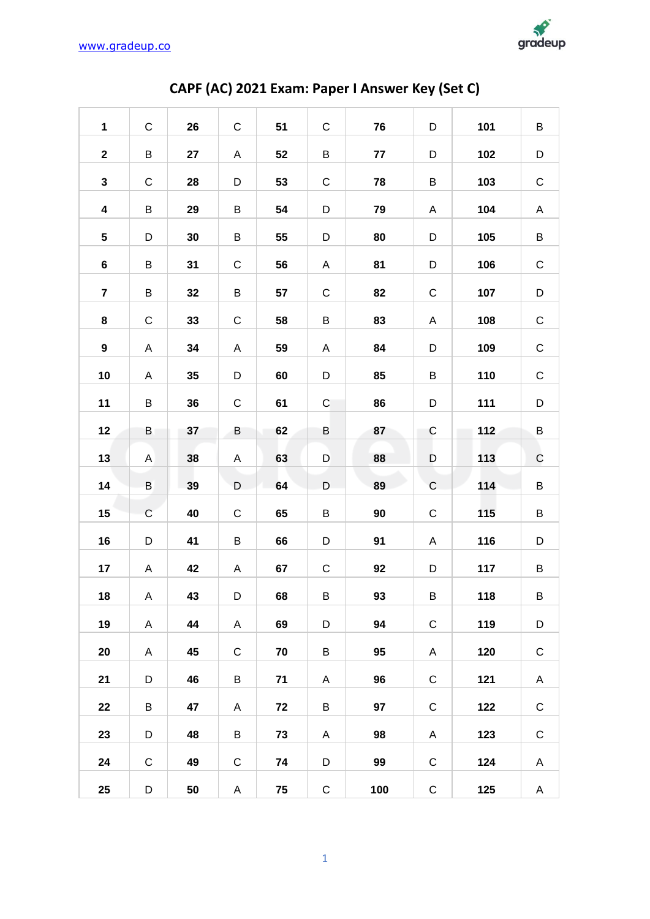

| $\mathbf 1$             | $\mathsf C$  | 26 | $\mathbf C$  | 51 | $\mathsf C$ | 76  | D           | 101 | B           |
|-------------------------|--------------|----|--------------|----|-------------|-----|-------------|-----|-------------|
| $\mathbf{2}$            | B            | 27 | A            | 52 | B           | 77  | D           | 102 | D           |
| $\mathbf{3}$            | $\mathbf C$  | 28 | D            | 53 | $\mathsf C$ | 78  | B           | 103 | $\mathsf C$ |
| $\overline{\mathbf{4}}$ | B            | 29 | B            | 54 | D           | 79  | A           | 104 | A           |
| $5\phantom{.0}$         | D            | 30 | B            | 55 | D           | 80  | D           | 105 | B           |
| $\bf 6$                 | B            | 31 | $\mathsf C$  | 56 | A           | 81  | D           | 106 | $\mathsf C$ |
| $\overline{7}$          | B            | 32 | B            | 57 | $\mathsf C$ | 82  | $\mathsf C$ | 107 | D           |
| 8                       | $\mathbf C$  | 33 | $\mathsf C$  | 58 | B           | 83  | Α           | 108 | $\mathsf C$ |
| 9                       | A            | 34 | A            | 59 | Α           | 84  | D           | 109 | $\mathsf C$ |
| 10                      | A            | 35 | D            | 60 | D           | 85  | B           | 110 | $\mathsf C$ |
| 11                      | B            | 36 | $\mathsf C$  | 61 | C           | 86  | D           | 111 | D           |
| 12                      | B            | 37 | B            | 62 | B           | 87  | $\mathsf C$ | 112 | B           |
| 13                      | $\mathsf{A}$ | 38 | A            | 63 | D           | 88  | D           | 113 | $\mathsf C$ |
| 14                      | $\sf B$      | 39 | D            | 64 | D           | 89  | $\mathsf C$ | 114 | B           |
| 15                      | $\mathbf C$  | 40 | $\mathsf{C}$ | 65 | B           | 90  | $\mathsf C$ | 115 | B           |
| 16                      | D            | 41 | B            | 66 | D           | 91  | A           | 116 | D           |
| 17                      | A            | 42 | A            | 67 | $\mathsf C$ | 92  | D           | 117 | В           |
| 18                      | A            | 43 | D            | 68 | B           | 93  | $\sf B$     | 118 | В           |
| 19                      | A            | 44 | $\mathsf{A}$ | 69 | D           | 94  | $\mathsf C$ | 119 | D           |
| 20                      | A            | 45 | ${\bf C}$    | 70 | B           | 95  | A           | 120 | $\mathsf C$ |
| 21                      | D            | 46 | B            | 71 | A           | 96  | $\mathsf C$ | 121 | A           |
| 22                      | B            | 47 | A            | 72 | B           | 97  | $\mathsf C$ | 122 | $\mathsf C$ |
| 23                      | D            | 48 | B            | 73 | A           | 98  | A           | 123 | $\mathsf C$ |
| 24                      | $\mathsf C$  | 49 | $\mathsf C$  | 74 | D           | 99  | $\mathsf C$ | 124 | A           |
| 25                      | D            | 50 | A            | 75 | ${\bf C}$   | 100 | $\mathsf C$ | 125 | A           |

## CAPF (AC) 2021 Exam: Paper I Answer Key (Set C)